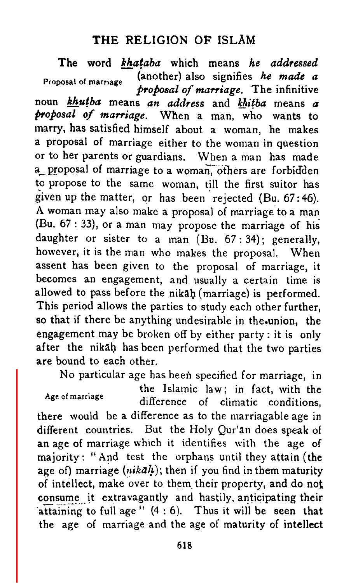## THE RELIGION OF ISLAM

The word khataba which means he addressed Proposal of marriage (another) also signifies he made a Proposal of marriage \ proposal of marriage. The infinitive noun *khutba* means an address and khitba means a proposal of marriage. When <sup>a</sup> man, who wants to marry, has satisfied himself about <sup>a</sup> woman, he makes <sup>a</sup> proposal of marriage either to the woman in question or to her parents or guardians. When <sup>a</sup> man has made a proposal of marriage to a woman, others are forbidden to propose to the same woman, till the first suitor has given up the matter, or has been rejected (Bu. 67:46). A woman may also make <sup>a</sup> proposal of marriage to <sup>a</sup> man (Bu. <sup>67</sup> : 33), or <sup>a</sup> man may propose the marriage of his daughter or sister to a man  $(Bu. 67:34)$ ; generally, however, it is the man who makes the proposal. When assent has been given to the proposal of marriage, it becomes an engagement, and usually <sup>a</sup> certain time is allowed to pass before the nikalj (marriage) is performed. This period allows the parties to study each other further, so that if there be anything undesirable in the union, the engagement may be broken off by either party : it is only after the nikah has been performed that the two parties are bound to each other.

No particular age has been specified for marriage, in

the Islamic law; in fact, with the Age of marriage difference of climatic conditions. there would be a difference as to the marriagable age in different countries. But the Holy Qur'an does speak of an age of marriage which it identifies with the age of majority : " And test the orphans until they attain (the age of) marriage ( $nikal$ ); then if you find in them maturity of intellect, make over to them their property, and do not consume it extravagantly and hastily, anticipating their attaining to full age" (4:6). Thus it will be seen that the age of marriage and the age of maturity of intellect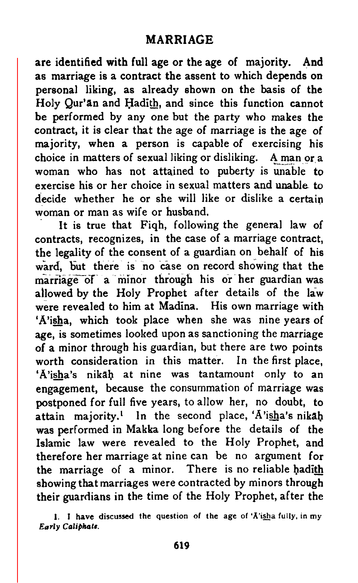## MARRIAGE

are identified with full age or the age of majority. And as marriage is a contract the assent to which depends on personal liking, as already shown on the basis of the Holy Qur'an and Hadith, and since this function cannot be performed by any one but the party who makes the contract, it is clear that the age of marriage is the age of majority, when a person is capable of exercising his choice in matters of sexual liking or disliking. A man or a woman who has not attained to puberty is unable to exercise his or her choice in sexual matters and unable to decide whether he or she will like or dislike a certain woman or man as wife or husband.

It is true that Fiqh, following the general law of contracts, recognizes, in the case of a marriage contract, the legality of the consent of <sup>a</sup> guardian on behalf of his ward, but there is no case on record showing that the marriage of a minor through his or her guardian was allowed by the Holy Prophet after details of the law were revealed to him at Madina. His own marriage with 'A'isha, which took place when she was nine years of age, is sometimes looked upon as sanctioning the marriage of a minor through his guardian, but there are two points worth consideration in this matter. In the first place, 'A'isha's nikah at nine was tantamount only to an engagement, because the consummation of marriage was postponed for full five years, to allow her, no doubt, to attain majority.<sup>1</sup> In the second place, A'isha's nikah was performed in Makka long before the details of the Islamic law were revealed to the Holy Prophet, and therefore her marriage at nine can be no argument for the marriage of a minor. There is no reliable hadith showing that marriages were contracted by minors through their guardians in the time of the Holy Prophet, after the

1. <sup>I</sup> have discussed the question of the age of 'A'isha fully, in my Early Caliphate.